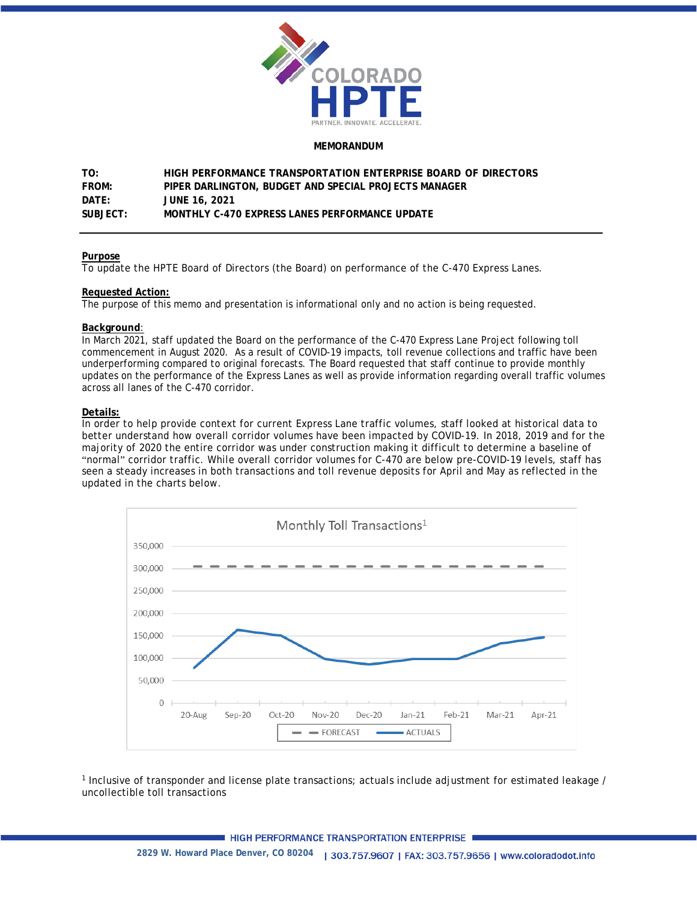

#### **MEMORANDUM**

**TO: HIGH PERFORMANCE TRANSPORTATION ENTERPRISE BOARD OF DIRECTORS FROM: PIPER DARLINGTON, BUDGET AND SPECIAL PROJECTS MANAGER DATE: JUNE 16, 2021 SUBJECT: MONTHLY C-470 EXPRESS LANES PERFORMANCE UPDATE**

### **Purpose**

To update the HPTE Board of Directors (the Board) on performance of the C-470 Express Lanes.

## **Requested Action:**

The purpose of this memo and presentation is informational only and no action is being requested.

### **Background**:

In March 2021, staff updated the Board on the performance of the C-470 Express Lane Project following toll commencement in August 2020. As a result of COVID-19 impacts, toll revenue collections and traffic have been underperforming compared to original forecasts. The Board requested that staff continue to provide monthly updates on the performance of the Express Lanes as well as provide information regarding overall traffic volumes across all lanes of the C-470 corridor.

### **Details:**

In order to help provide context for current Express Lane traffic volumes, staff looked at historical data to better understand how overall corridor volumes have been impacted by COVID-19. In 2018, 2019 and for the majority of 2020 the entire corridor was under construction making it difficult to determine a baseline of "normal" corridor traffic. While overall corridor volumes for C-470 are below pre-COVID-19 levels, staff has seen a steady increases in both transactions and toll revenue deposits for April and May as reflected in the updated in the charts below.



<sup>1</sup> Inclusive of transponder and license plate transactions; actuals include adjustment for estimated leakage / uncollectible toll transactions